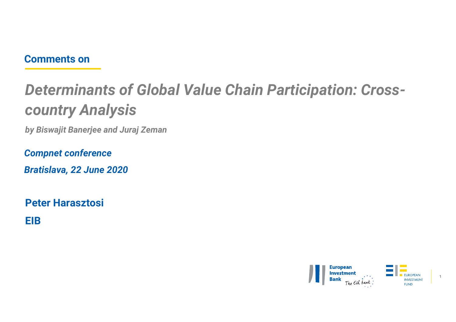# **Comments on**<br>Determinants of Global Value Chai Determinants of Global Value Chain Participation: Crosscountry Analysis **Comments on<br>Determinants of Global Value Chain Particip<br>COUNtry Analysis<br>by Biswajit Banerjee and Juraj Zeman<br>Compnet conference**<br>Praticlaus, 22, Iura 2020 Comments on<br>Determinants of Global Value Ch<br>COUNtry Analysis<br>by Biswajit Banerjee and Juraj Zeman<br>Compnet conference<br>Bratislava, 22 June 2020 Comments on<br>Determinants of Global Value Chain Pa<br>country Analysis<br>by Biswajit Banerjee and Juraj Zeman<br>Compnet conference<br>Bratislava, 22 June 2020<br>Peter Harasztosi

Peter Harasztosi

**EIB EIB EIB** 

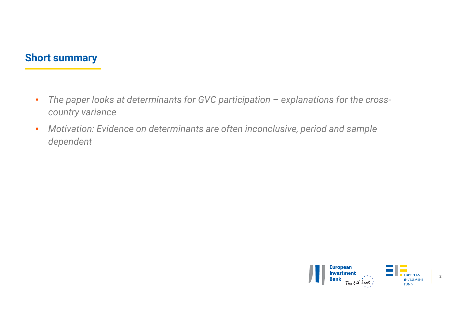- Short summary<br>And a sense leaks at determinants for GVC new • The paper looks at determinants for GVC participation – explanations for the cross-<br>• Country variance<br>• Motivation: Evidence on determinants are often inconclusive, period and sample country variance
	- Motivation: Evidence on determinants are often inconclusive, period and sample dependent

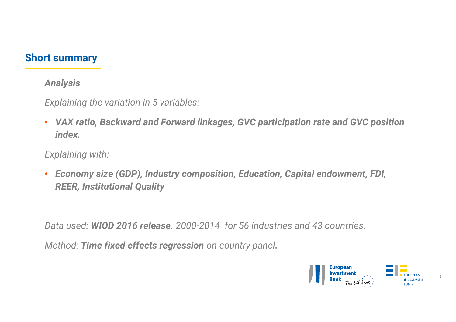# Short summary<br>Analysis

# Analysis

Explaining the variation in 5 variables:

• VAX ratio, Backward and Forward linkages, GVC participation rate and GVC position index. Explaining the variation in 5 variables:<br>
• VAX ratio, Backward and Forward linkages, GVC participation rate and GVC position<br>
index.<br>
Explaining with:<br>
• Economy size (GDP), Industry composition, Education, Capital endowm

Explaining with:

• Economy size (GDP), Industry composition, Education, Capital endowment, FDI, REER, Institutional Quality

Method: Time fixed effects regression on country panel.

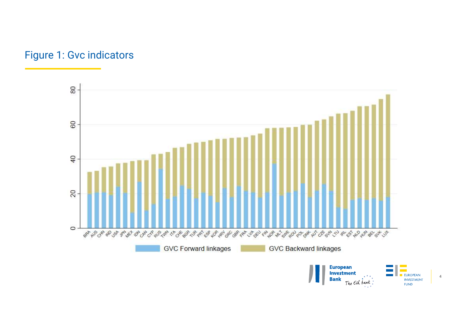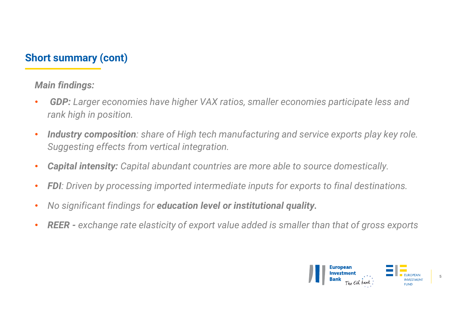# Short summary (cont)<br>Main findings:

# Main findings:

- GDP: Larger economies have higher VAX ratios, smaller economies participate less and rank high in position.
- Industry composition: share of High tech manufacturing and service exports play key role. Suggesting effects from vertical integration. • **GDP:** Larger economies have higher VAX ratios, smaller economies participate less and<br>
• **Industry composition**: share of High tech manufacturing and service exports play key role.<br>
• **Capital intensity:** Capital abunda
- Capital intensity: Capital abundant countries are more able to source domestically.
- FDI: Driven by processing imported intermediate inputs for exports to final destinations.
- No significant findings for education level or institutional quality.
- 

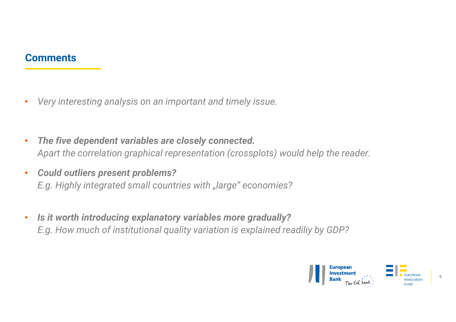# **Comments**

- 
- Very interesting analysis on an important and timely issue.<br>• The five dependent variables are closely connected.<br>• Could outliers present problems?<br>• Could outliers present problems? Apart the correlation graphical representation (crossplots) would help the reader.<br>• The five dependent variables are closely connected.<br>4 Apart the correlation graphical representation (crossplots) would help the reader.<br> For Very interesting analysis on an important and timely issue.<br>
• The five dependent variables are closely connected.<br>
• Could outliers present problems?<br>
• Could outliers present problems?<br>
• Is it worth introducing expl Very interesting analysis on an important and timely issue.<br>
The five dependent variables are closely connected.<br>
Apart the correlation graphical representation (crossplots) would help the reader.<br>
C.g. Highly integrated
- 
- 

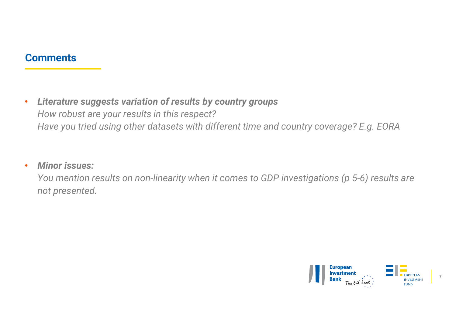# **Comments**

• Literature suggests variation of results by country groups<br>• Literature suggests variation of results by country groups<br>• How robust are your results in this respect?<br>• Have you tried using other datasets with different mments<br>Literature suggests variation of results by country groups<br>How robust are your results in this respect?<br>Have you tried using other datasets with different time and country coverage? mments<br>Literature suggests variation of results by country groups<br>How robust are your results in this respect?<br>Have you tried using other datasets with different time and country coverage? E.g. EORA<br>Miner iccuo: **Literature suggests variation of results by country groups**<br>How robust are your results in this respect?<br>Have you tried using other datasets with different time and country coverage? E.g. EORA<br>**Minor issues:**<br>You mention mand and the comments<br>
Literature suggests variation of results by cournal<br>
How robust are your results in this respect?<br>
Have you tried using other datasets with differe<br>
Minor issues:<br>
You mention results on non-linearit

# • Minor issues:

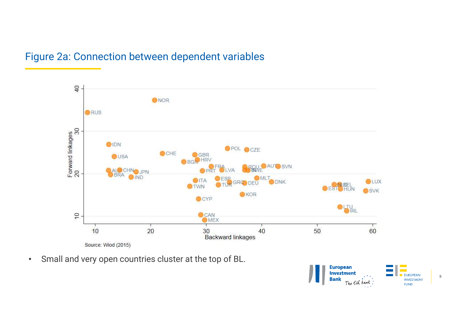

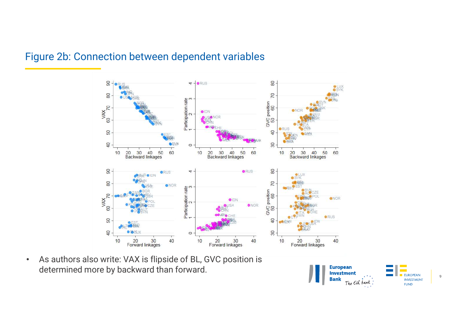

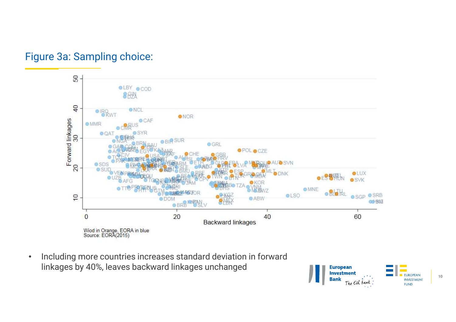